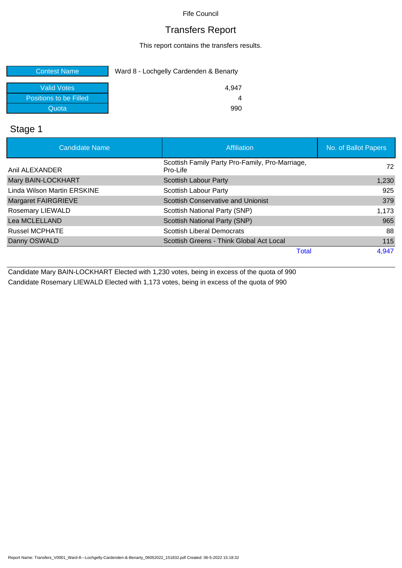Fife Council

### Transfers Report

This report contains the transfers results.

| <b>Contest Name</b>    | Ward 8 - Lochgelly Cardenden & Benarty |  |
|------------------------|----------------------------------------|--|
| <b>Valid Votes</b>     | 4.947                                  |  |
| Positions to be Filled |                                        |  |
| Quota                  | 990                                    |  |

### Stage 1

| <b>Candidate Name</b>       | <b>Affiliation</b>                                          | No. of Ballot Papers |
|-----------------------------|-------------------------------------------------------------|----------------------|
| Anil ALEXANDER              | Scottish Family Party Pro-Family, Pro-Marriage,<br>Pro-Life | 72                   |
| Mary BAIN-LOCKHART          | <b>Scottish Labour Party</b>                                | 1,230                |
| Linda Wilson Martin ERSKINE | Scottish Labour Party                                       | 925                  |
| Margaret FAIRGRIEVE         | <b>Scottish Conservative and Unionist</b>                   | 379                  |
| <b>Rosemary LIEWALD</b>     | Scottish National Party (SNP)                               | 1,173                |
| Lea MCLELLAND               | Scottish National Party (SNP)                               | 965                  |
| <b>Russel MCPHATE</b>       | <b>Scottish Liberal Democrats</b>                           | 88                   |
| Danny OSWALD                | Scottish Greens - Think Global Act Local                    | 115                  |
|                             | Total                                                       | 4,947                |

Candidate Mary BAIN-LOCKHART Elected with 1,230 votes, being in excess of the quota of 990 Candidate Rosemary LIEWALD Elected with 1,173 votes, being in excess of the quota of 990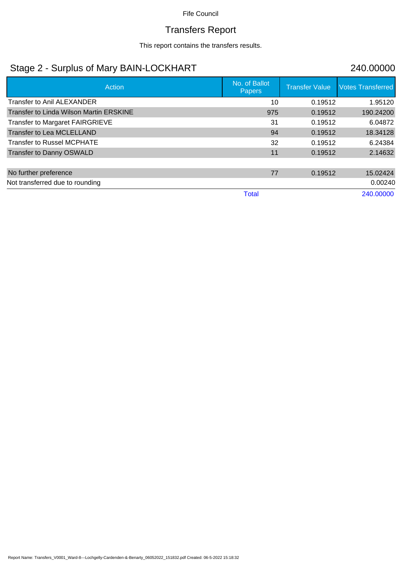#### Fife Council

# Transfers Report

This report contains the transfers results.

## Stage 2 - Surplus of Mary BAIN-LOCKHART 240.00000

| Action                                  | No. of Ballot<br>Papers | <b>Transfer Value</b> | <b>Votes Transferred</b> |
|-----------------------------------------|-------------------------|-----------------------|--------------------------|
| Transfer to Anil ALEXANDER              | 10                      | 0.19512               | 1.95120                  |
| Transfer to Linda Wilson Martin ERSKINE | 975                     | 0.19512               | 190.24200                |
| Transfer to Margaret FAIRGRIEVE         | 31                      | 0.19512               | 6.04872                  |
| Transfer to Lea MCLELLAND               | 94                      | 0.19512               | 18.34128                 |
| <b>Transfer to Russel MCPHATE</b>       | 32                      | 0.19512               | 6.24384                  |
| Transfer to Danny OSWALD                | 11                      | 0.19512               | 2.14632                  |
|                                         |                         |                       |                          |
| No further preference                   | 77                      | 0.19512               | 15.02424                 |
| Not transferred due to rounding         |                         |                       | 0.00240                  |
|                                         | <b>Total</b>            |                       | 240.00000                |

Report Name: Transfers\_V0001\_Ward-8---Lochgelly-Cardenden-&-Benarty\_06052022\_151832.pdf Created: 06-5-2022 15:18:32